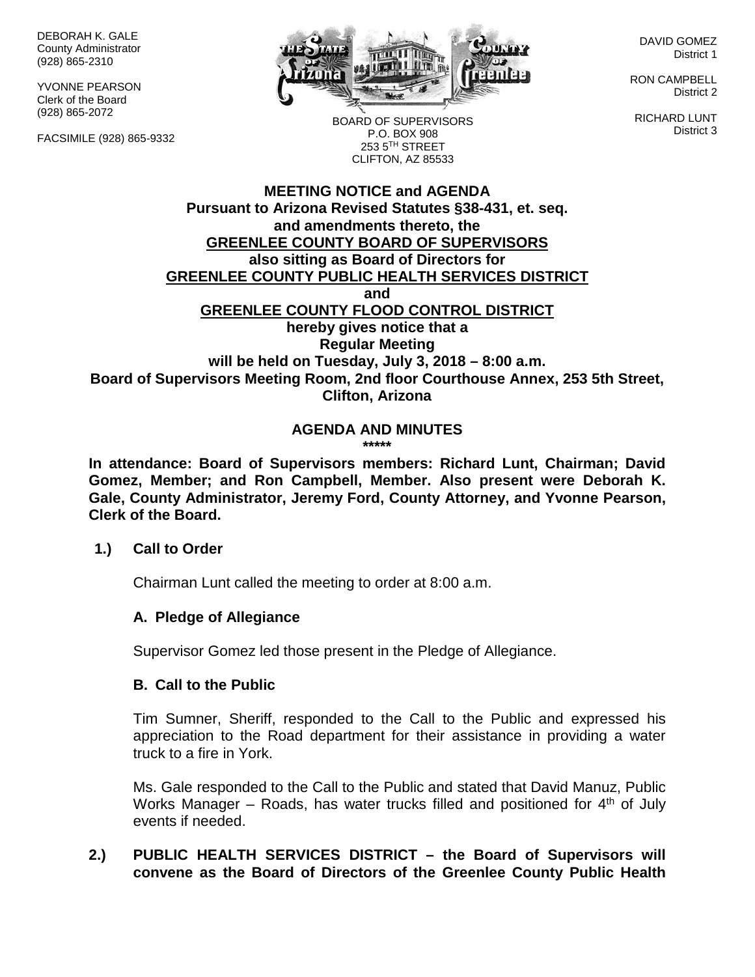DEBORAH K. GALE County Administrator (928) 865-2310

YVONNE PEARSON Clerk of the Board (928) 865-2072

FACSIMILE (928) 865-9332



DAVID GOMEZ District 1

RON CAMPBELL District 2

RICHARD LUNT District 3

BOARD OF SUPERVISORS P.O. BOX 908 253 5TH STREET CLIFTON, AZ 85533

#### **MEETING NOTICE and AGENDA Pursuant to Arizona Revised Statutes §38-431, et. seq. and amendments thereto, the GREENLEE COUNTY BOARD OF SUPERVISORS also sitting as Board of Directors for GREENLEE COUNTY PUBLIC HEALTH SERVICES DISTRICT and GREENLEE COUNTY FLOOD CONTROL DISTRICT hereby gives notice that a Regular Meeting will be held on Tuesday, July 3, 2018 – 8:00 a.m. Board of Supervisors Meeting Room, 2nd floor Courthouse Annex, 253 5th Street, Clifton, Arizona**

#### **AGENDA AND MINUTES \*\*\*\*\***

**In attendance: Board of Supervisors members: Richard Lunt, Chairman; David Gomez, Member; and Ron Campbell, Member. Also present were Deborah K. Gale, County Administrator, Jeremy Ford, County Attorney, and Yvonne Pearson, Clerk of the Board.**

#### **1.) Call to Order**

Chairman Lunt called the meeting to order at 8:00 a.m.

# **A. Pledge of Allegiance**

Supervisor Gomez led those present in the Pledge of Allegiance.

#### **B. Call to the Public**

Tim Sumner, Sheriff, responded to the Call to the Public and expressed his appreciation to the Road department for their assistance in providing a water truck to a fire in York.

Ms. Gale responded to the Call to the Public and stated that David Manuz, Public Works Manager – Roads, has water trucks filled and positioned for  $4<sup>th</sup>$  of July events if needed.

# **2.) PUBLIC HEALTH SERVICES DISTRICT – the Board of Supervisors will convene as the Board of Directors of the Greenlee County Public Health**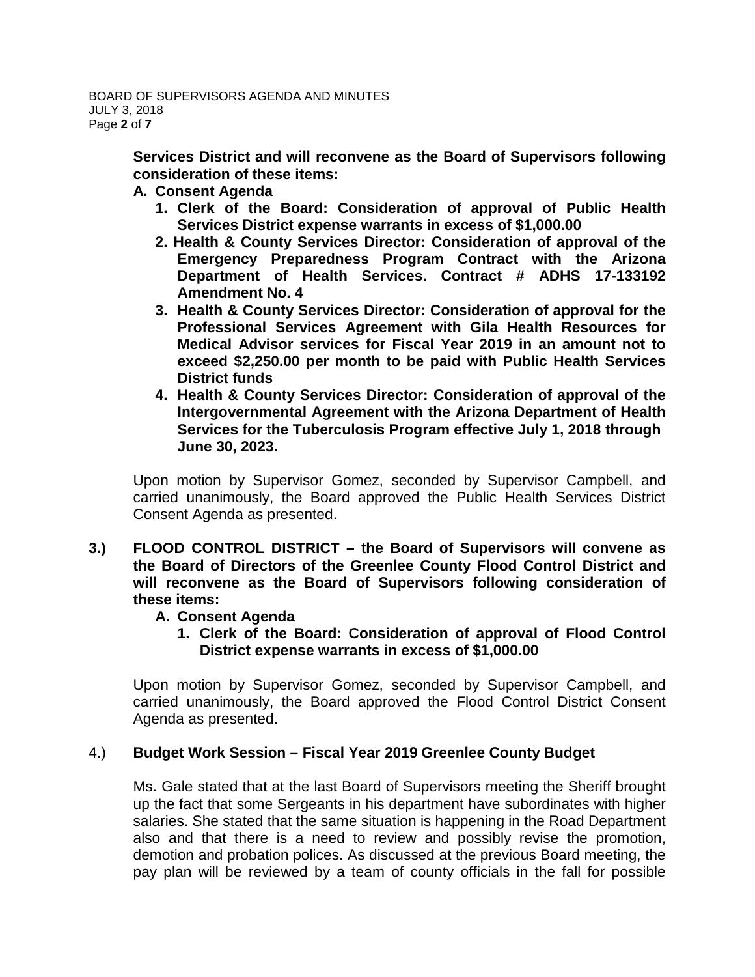**Services District and will reconvene as the Board of Supervisors following consideration of these items:**

# **A. Consent Agenda**

- **1. Clerk of the Board: Consideration of approval of Public Health Services District expense warrants in excess of \$1,000.00**
- **2. Health & County Services Director: Consideration of approval of the Emergency Preparedness Program Contract with the Arizona Department of Health Services. Contract # ADHS 17-133192 Amendment No. 4**
- **3. Health & County Services Director: Consideration of approval for the Professional Services Agreement with Gila Health Resources for Medical Advisor services for Fiscal Year 2019 in an amount not to exceed \$2,250.00 per month to be paid with Public Health Services District funds**
- **4. Health & County Services Director: Consideration of approval of the Intergovernmental Agreement with the Arizona Department of Health Services for the Tuberculosis Program effective July 1, 2018 through June 30, 2023.**

Upon motion by Supervisor Gomez, seconded by Supervisor Campbell, and carried unanimously, the Board approved the Public Health Services District Consent Agenda as presented.

**3.) FLOOD CONTROL DISTRICT – the Board of Supervisors will convene as the Board of Directors of the Greenlee County Flood Control District and will reconvene as the Board of Supervisors following consideration of these items:**

# **A. Consent Agenda**

**1. Clerk of the Board: Consideration of approval of Flood Control District expense warrants in excess of \$1,000.00**

Upon motion by Supervisor Gomez, seconded by Supervisor Campbell, and carried unanimously, the Board approved the Flood Control District Consent Agenda as presented.

# 4.) **Budget Work Session – Fiscal Year 2019 Greenlee County Budget**

Ms. Gale stated that at the last Board of Supervisors meeting the Sheriff brought up the fact that some Sergeants in his department have subordinates with higher salaries. She stated that the same situation is happening in the Road Department also and that there is a need to review and possibly revise the promotion, demotion and probation polices. As discussed at the previous Board meeting, the pay plan will be reviewed by a team of county officials in the fall for possible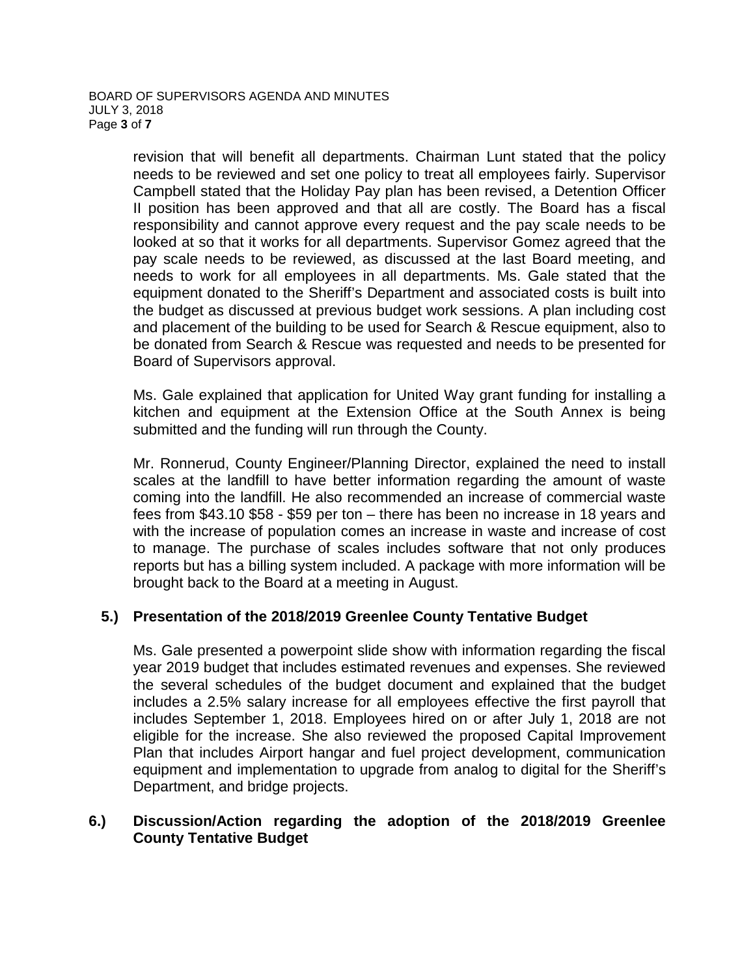revision that will benefit all departments. Chairman Lunt stated that the policy needs to be reviewed and set one policy to treat all employees fairly. Supervisor Campbell stated that the Holiday Pay plan has been revised, a Detention Officer II position has been approved and that all are costly. The Board has a fiscal responsibility and cannot approve every request and the pay scale needs to be looked at so that it works for all departments. Supervisor Gomez agreed that the pay scale needs to be reviewed, as discussed at the last Board meeting, and needs to work for all employees in all departments. Ms. Gale stated that the equipment donated to the Sheriff's Department and associated costs is built into the budget as discussed at previous budget work sessions. A plan including cost and placement of the building to be used for Search & Rescue equipment, also to be donated from Search & Rescue was requested and needs to be presented for Board of Supervisors approval.

Ms. Gale explained that application for United Way grant funding for installing a kitchen and equipment at the Extension Office at the South Annex is being submitted and the funding will run through the County.

Mr. Ronnerud, County Engineer/Planning Director, explained the need to install scales at the landfill to have better information regarding the amount of waste coming into the landfill. He also recommended an increase of commercial waste fees from \$43.10 \$58 - \$59 per ton – there has been no increase in 18 years and with the increase of population comes an increase in waste and increase of cost to manage. The purchase of scales includes software that not only produces reports but has a billing system included. A package with more information will be brought back to the Board at a meeting in August.

# **5.) Presentation of the 2018/2019 Greenlee County Tentative Budget**

Ms. Gale presented a powerpoint slide show with information regarding the fiscal year 2019 budget that includes estimated revenues and expenses. She reviewed the several schedules of the budget document and explained that the budget includes a 2.5% salary increase for all employees effective the first payroll that includes September 1, 2018. Employees hired on or after July 1, 2018 are not eligible for the increase. She also reviewed the proposed Capital Improvement Plan that includes Airport hangar and fuel project development, communication equipment and implementation to upgrade from analog to digital for the Sheriff's Department, and bridge projects.

#### **6.) Discussion/Action regarding the adoption of the 2018/2019 Greenlee County Tentative Budget**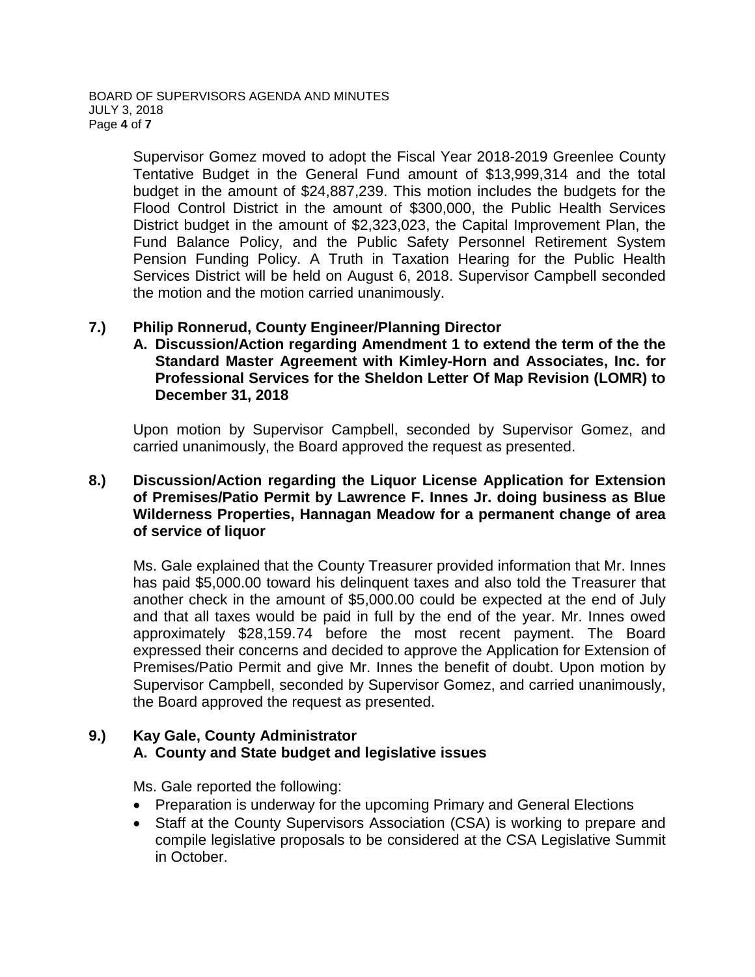Supervisor Gomez moved to adopt the Fiscal Year 2018-2019 Greenlee County Tentative Budget in the General Fund amount of \$13,999,314 and the total budget in the amount of \$24,887,239. This motion includes the budgets for the Flood Control District in the amount of \$300,000, the Public Health Services District budget in the amount of \$2,323,023, the Capital Improvement Plan, the Fund Balance Policy, and the Public Safety Personnel Retirement System Pension Funding Policy. A Truth in Taxation Hearing for the Public Health Services District will be held on August 6, 2018. Supervisor Campbell seconded the motion and the motion carried unanimously.

# **7.) Philip Ronnerud, County Engineer/Planning Director**

**A. Discussion/Action regarding Amendment 1 to extend the term of the the Standard Master Agreement with Kimley-Horn and Associates, Inc. for Professional Services for the Sheldon Letter Of Map Revision (LOMR) to December 31, 2018**

Upon motion by Supervisor Campbell, seconded by Supervisor Gomez, and carried unanimously, the Board approved the request as presented.

# **8.) Discussion/Action regarding the Liquor License Application for Extension of Premises/Patio Permit by Lawrence F. Innes Jr. doing business as Blue Wilderness Properties, Hannagan Meadow for a permanent change of area of service of liquor**

Ms. Gale explained that the County Treasurer provided information that Mr. Innes has paid \$5,000.00 toward his delinquent taxes and also told the Treasurer that another check in the amount of \$5,000.00 could be expected at the end of July and that all taxes would be paid in full by the end of the year. Mr. Innes owed approximately \$28,159.74 before the most recent payment. The Board expressed their concerns and decided to approve the Application for Extension of Premises/Patio Permit and give Mr. Innes the benefit of doubt. Upon motion by Supervisor Campbell, seconded by Supervisor Gomez, and carried unanimously, the Board approved the request as presented.

#### **9.) Kay Gale, County Administrator A. County and State budget and legislative issues**

Ms. Gale reported the following:

- Preparation is underway for the upcoming Primary and General Elections
- Staff at the County Supervisors Association (CSA) is working to prepare and compile legislative proposals to be considered at the CSA Legislative Summit in October.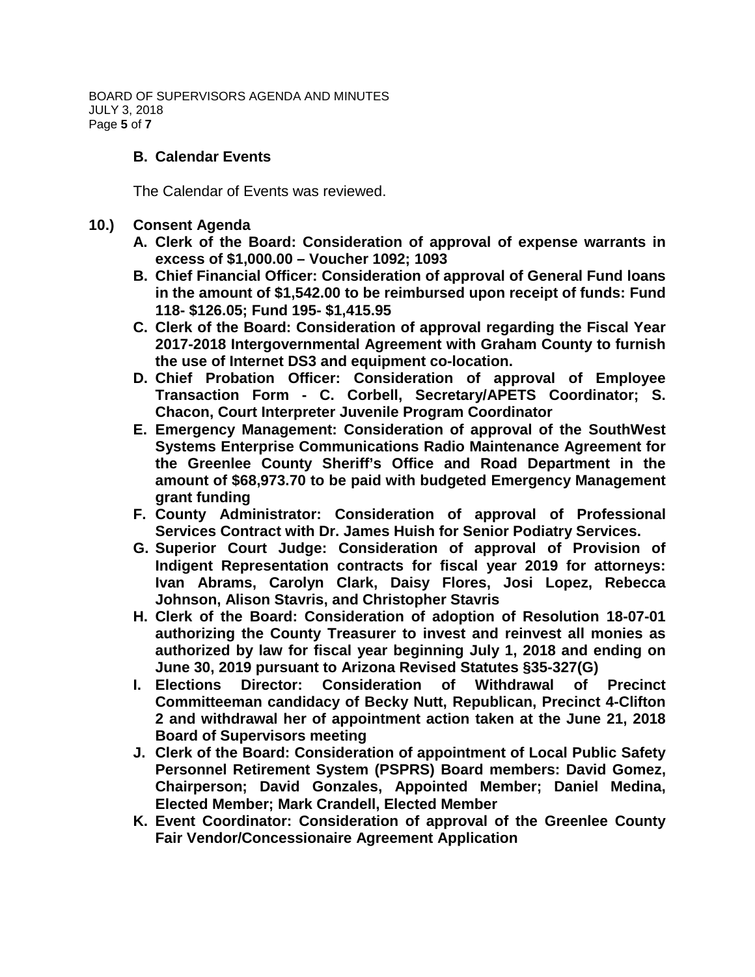BOARD OF SUPERVISORS AGENDA AND MINUTES JULY 3, 2018 Page **5** of **7**

#### **B. Calendar Events**

The Calendar of Events was reviewed.

- **10.) Consent Agenda**
	- **A. Clerk of the Board: Consideration of approval of expense warrants in excess of \$1,000.00 – Voucher 1092; 1093**
	- **B. Chief Financial Officer: Consideration of approval of General Fund loans in the amount of \$1,542.00 to be reimbursed upon receipt of funds: Fund 118- \$126.05; Fund 195- \$1,415.95**
	- **C. Clerk of the Board: Consideration of approval regarding the Fiscal Year 2017-2018 Intergovernmental Agreement with Graham County to furnish the use of Internet DS3 and equipment co-location.**
	- **D. Chief Probation Officer: Consideration of approval of Employee Transaction Form - C. Corbell, Secretary/APETS Coordinator; S. Chacon, Court Interpreter Juvenile Program Coordinator**
	- **E. Emergency Management: Consideration of approval of the SouthWest Systems Enterprise Communications Radio Maintenance Agreement for the Greenlee County Sheriff's Office and Road Department in the amount of \$68,973.70 to be paid with budgeted Emergency Management grant funding**
	- **F. County Administrator: Consideration of approval of Professional Services Contract with Dr. James Huish for Senior Podiatry Services.**
	- **G. Superior Court Judge: Consideration of approval of Provision of Indigent Representation contracts for fiscal year 2019 for attorneys: Ivan Abrams, Carolyn Clark, Daisy Flores, Josi Lopez, Rebecca Johnson, Alison Stavris, and Christopher Stavris**
	- **H. Clerk of the Board: Consideration of adoption of Resolution 18-07-01 authorizing the County Treasurer to invest and reinvest all monies as authorized by law for fiscal year beginning July 1, 2018 and ending on June 30, 2019 pursuant to Arizona Revised Statutes §35-327(G)**
	- **I. Elections Director: Consideration of Withdrawal of Precinct Committeeman candidacy of Becky Nutt, Republican, Precinct 4-Clifton 2 and withdrawal her of appointment action taken at the June 21, 2018 Board of Supervisors meeting**
	- **J. Clerk of the Board: Consideration of appointment of Local Public Safety Personnel Retirement System (PSPRS) Board members: David Gomez, Chairperson; David Gonzales, Appointed Member; Daniel Medina, Elected Member; Mark Crandell, Elected Member**
	- **K. Event Coordinator: Consideration of approval of the Greenlee County Fair Vendor/Concessionaire Agreement Application**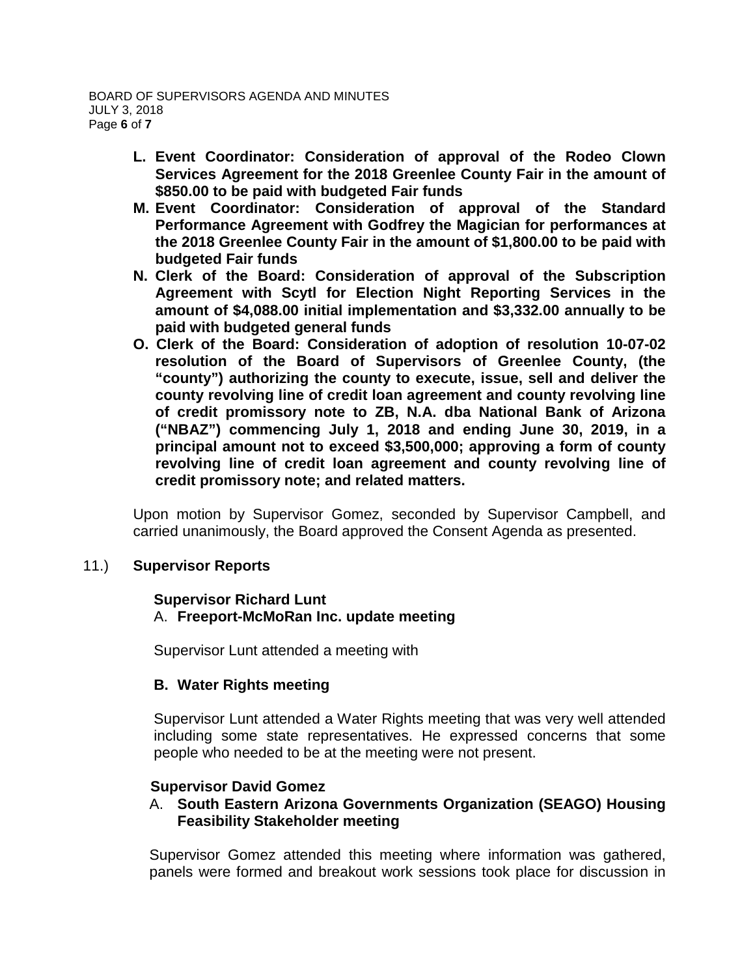- **L. Event Coordinator: Consideration of approval of the Rodeo Clown Services Agreement for the 2018 Greenlee County Fair in the amount of \$850.00 to be paid with budgeted Fair funds**
- **M. Event Coordinator: Consideration of approval of the Standard Performance Agreement with Godfrey the Magician for performances at the 2018 Greenlee County Fair in the amount of \$1,800.00 to be paid with budgeted Fair funds**
- **N. Clerk of the Board: Consideration of approval of the Subscription Agreement with Scytl for Election Night Reporting Services in the amount of \$4,088.00 initial implementation and \$3,332.00 annually to be paid with budgeted general funds**
- **O. Clerk of the Board: Consideration of adoption of resolution 10-07-02 resolution of the Board of Supervisors of Greenlee County, (the "county") authorizing the county to execute, issue, sell and deliver the county revolving line of credit loan agreement and county revolving line of credit promissory note to ZB, N.A. dba National Bank of Arizona ("NBAZ") commencing July 1, 2018 and ending June 30, 2019, in a principal amount not to exceed \$3,500,000; approving a form of county revolving line of credit loan agreement and county revolving line of credit promissory note; and related matters.**

Upon motion by Supervisor Gomez, seconded by Supervisor Campbell, and carried unanimously, the Board approved the Consent Agenda as presented.

# 11.) **Supervisor Reports**

#### **Supervisor Richard Lunt** A. **Freeport-McMoRan Inc. update meeting**

Supervisor Lunt attended a meeting with

# **B. Water Rights meeting**

Supervisor Lunt attended a Water Rights meeting that was very well attended including some state representatives. He expressed concerns that some people who needed to be at the meeting were not present.

# **Supervisor David Gomez**

# A. **South Eastern Arizona Governments Organization (SEAGO) Housing Feasibility Stakeholder meeting**

Supervisor Gomez attended this meeting where information was gathered, panels were formed and breakout work sessions took place for discussion in